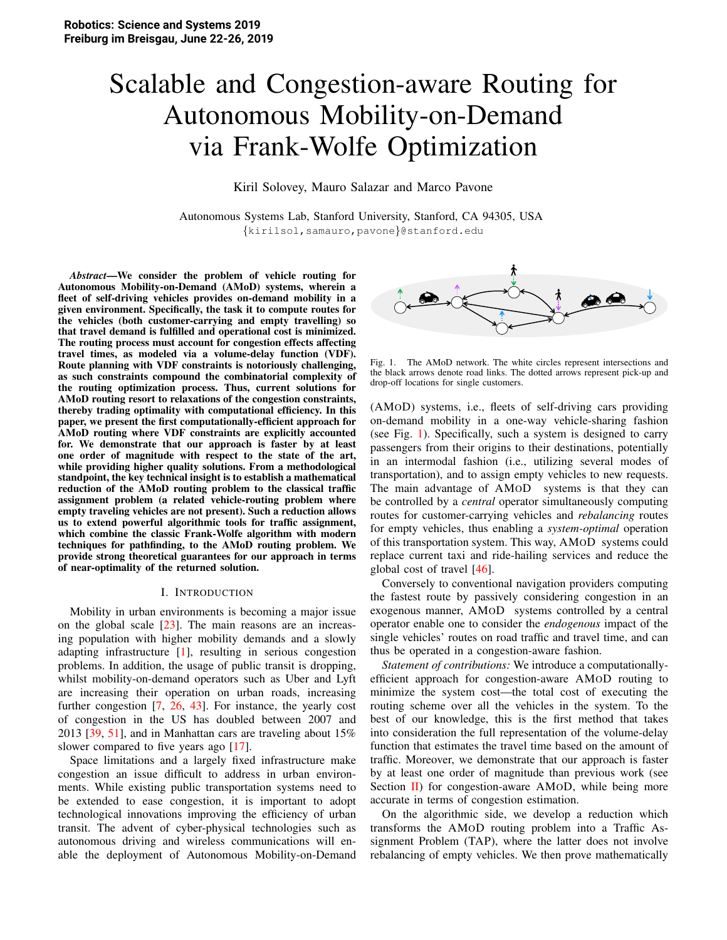# Scalable and Congestion-aware Routing for Autonomous Mobility-on-Demand via Frank-Wolfe Optimization

Kiril Solovey, Mauro Salazar and Marco Pavone

Autonomous Systems Lab, Stanford University, Stanford, CA 94305, USA {kirilsol,samauro,pavone}@stanford.edu

*Abstract*—We consider the problem of vehicle routing for Autonomous Mobility-on-Demand (AMoD) systems, wherein a fleet of self-driving vehicles provides on-demand mobility in a given environment. Specifically, the task it to compute routes for the vehicles (both customer-carrying and empty travelling) so that travel demand is fulfilled and operational cost is minimized. The routing process must account for congestion effects affecting travel times, as modeled via a volume-delay function (VDF). Route planning with VDF constraints is notoriously challenging, as such constraints compound the combinatorial complexity of the routing optimization process. Thus, current solutions for AMoD routing resort to relaxations of the congestion constraints, thereby trading optimality with computational efficiency. In this paper, we present the first computationally-efficient approach for AMoD routing where VDF constraints are explicitly accounted for. We demonstrate that our approach is faster by at least one order of magnitude with respect to the state of the art, while providing higher quality solutions. From a methodological standpoint, the key technical insight is to establish a mathematical reduction of the AMoD routing problem to the classical traffic assignment problem (a related vehicle-routing problem where empty traveling vehicles are not present). Such a reduction allows us to extend powerful algorithmic tools for traffic assignment, which combine the classic Frank-Wolfe algorithm with modern techniques for pathfinding, to the AMoD routing problem. We provide strong theoretical guarantees for our approach in terms of near-optimality of the returned solution.

### I. INTRODUCTION

Mobility in urban environments is becoming a major issue on the global scale [23]. The main reasons are an increasing population with higher mobility demands and a slowly adapting infrastructure [1], resulting in serious congestion problems. In addition, the usage of public transit is dropping, whilst mobility-on-demand operators such as Uber and Lyft are increasing their operation on urban roads, increasing further congestion [7, 26, 43]. For instance, the yearly cost of congestion in the US has doubled between 2007 and 2013 [39, 51], and in Manhattan cars are traveling about 15% slower compared to five years ago [17].

Space limitations and a largely fixed infrastructure make congestion an issue difficult to address in urban environments. While existing public transportation systems need to be extended to ease congestion, it is important to adopt technological innovations improving the efficiency of urban transit. The advent of cyber-physical technologies such as autonomous driving and wireless communications will enable the deployment of Autonomous Mobility-on-Demand



Fig. 1. The AMoD network. The white circles represent intersections and the black arrows denote road links. The dotted arrows represent pick-up and drop-off locations for single customers.

(AMOD) systems, i.e., fleets of self-driving cars providing on-demand mobility in a one-way vehicle-sharing fashion (see Fig. 1). Specifically, such a system is designed to carry passengers from their origins to their destinations, potentially in an intermodal fashion (i.e., utilizing several modes of transportation), and to assign empty vehicles to new requests. The main advantage of AMOD systems is that they can be controlled by a *central* operator simultaneously computing routes for customer-carrying vehicles and *rebalancing* routes for empty vehicles, thus enabling a *system-optimal* operation of this transportation system. This way, AMOD systems could replace current taxi and ride-hailing services and reduce the global cost of travel [46].

Conversely to conventional navigation providers computing the fastest route by passively considering congestion in an exogenous manner, AMOD systems controlled by a central operator enable one to consider the *endogenous* impact of the single vehicles' routes on road traffic and travel time, and can thus be operated in a congestion-aware fashion.

*Statement of contributions:* We introduce a computationallyefficient approach for congestion-aware AMOD routing to minimize the system cost—the total cost of executing the routing scheme over all the vehicles in the system. To the best of our knowledge, this is the first method that takes into consideration the full representation of the volume-delay function that estimates the travel time based on the amount of traffic. Moreover, we demonstrate that our approach is faster by at least one order of magnitude than previous work (see Section II) for congestion-aware AMOD, while being more accurate in terms of congestion estimation.

On the algorithmic side, we develop a reduction which transforms the AMOD routing problem into a Traffic Assignment Problem (TAP), where the latter does not involve rebalancing of empty vehicles. We then prove mathematically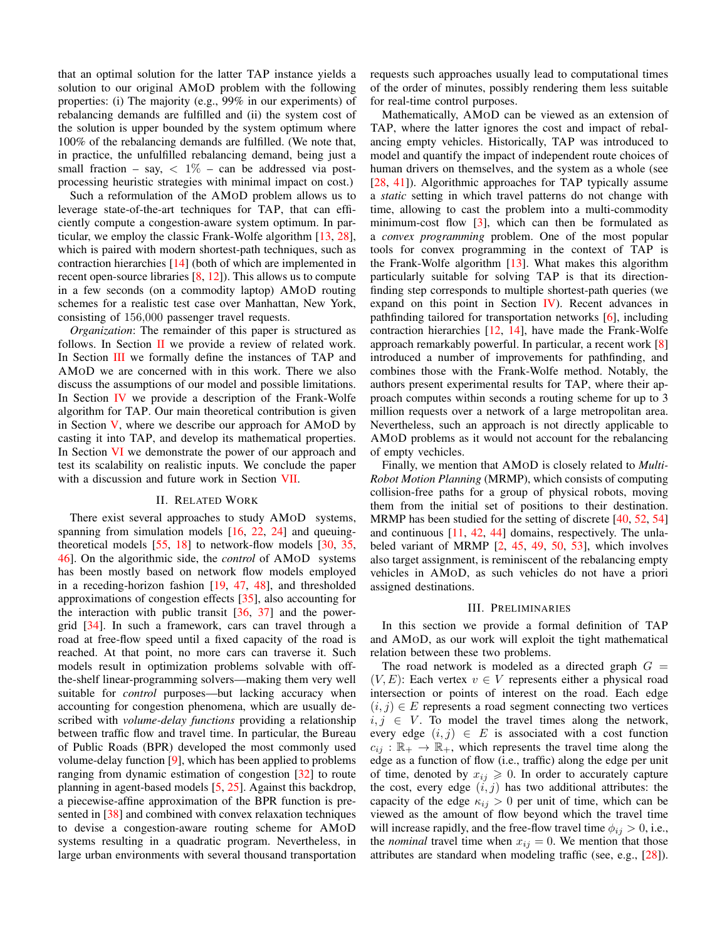that an optimal solution for the latter TAP instance yields a solution to our original AMOD problem with the following properties: (i) The majority (e.g., 99% in our experiments) of rebalancing demands are fulfilled and (ii) the system cost of the solution is upper bounded by the system optimum where 100% of the rebalancing demands are fulfilled. (We note that, in practice, the unfulfilled rebalancing demand, being just a small fraction - say,  $\langle 1\% - \text{can} \rangle$  be addressed via postprocessing heuristic strategies with minimal impact on cost.)

Such a reformulation of the AMOD problem allows us to leverage state-of-the-art techniques for TAP, that can efficiently compute a congestion-aware system optimum. In particular, we employ the classic Frank-Wolfe algorithm  $[13, 28]$ , which is paired with modern shortest-path techniques, such as contraction hierarchies  $[14]$  (both of which are implemented in recent open-source libraries  $[8, 12]$ ). This allows us to compute in a few seconds (on a commodity laptop) AMOD routing schemes for a realistic test case over Manhattan, New York, consisting of 156,000 passenger travel requests.

Organization: The remainder of this paper is structured as follows. In Section  $\Pi$  we provide a review of related work. In Section III we formally define the instances of TAP and AMOD we are concerned with in this work. There we also discuss the assumptions of our model and possible limitations. In Section IV we provide a description of the Frank-Wolfe algorithm for TAP. Our main theoretical contribution is given in Section  $V$ , where we describe our approach for AMOD by casting it into TAP, and develop its mathematical properties. In Section VI we demonstrate the power of our approach and test its scalability on realistic inputs. We conclude the paper with a discussion and future work in Section VII.

#### **II. RELATED WORK**

There exist several approaches to study AMOD systems, spanning from simulation models [16, 22, 24] and queuingtheoretical models  $[55, 18]$  to network-flow models  $[30, 35]$ , 46]. On the algorithmic side, the *control* of AMoD systems has been mostly based on network flow models employed in a receding-horizon fashion  $[19, 47, 48]$ , and thresholded approximations of congestion effects  $[35]$ , also accounting for the interaction with public transit  $[36, 37]$  and the powergrid [34]. In such a framework, cars can travel through a road at free-flow speed until a fixed capacity of the road is reached. At that point, no more cars can traverse it. Such models result in optimization problems solvable with offthe-shelf linear-programming solvers—making them very well suitable for *control* purposes-but lacking accuracy when accounting for congestion phenomena, which are usually described with *volume-delay functions* providing a relationship between traffic flow and travel time. In particular, the Bureau of Public Roads (BPR) developed the most commonly used volume-delay function  $[9]$ , which has been applied to problems ranging from dynamic estimation of congestion  $\lceil 32 \rceil$  to route planning in agent-based models  $[5, 25]$ . Against this backdrop, a piecewise-affine approximation of the BPR function is presented in [38] and combined with convex relaxation techniques to devise a congestion-aware routing scheme for AMoD systems resulting in a quadratic program. Nevertheless, in large urban environments with several thousand transportation requests such approaches usually lead to computational times of the order of minutes, possibly rendering them less suitable for real-time control purposes.

Mathematically, AMoD can be viewed as an extension of TAP, where the latter ignores the cost and impact of rebalancing empty vehicles. Historically, TAP was introduced to model and quantify the impact of independent route choices of human drivers on themselves, and the system as a whole (see [28, 41]). Algorithmic approaches for TAP typically assume a *static* setting in which travel patterns do not change with time, allowing to cast the problem into a multi-commodity minimum-cost flow  $\lceil 3 \rceil$ , which can then be formulated as a convex programming problem. One of the most popular tools for convex programming in the context of TAP is the Frank-Wolfe algorithm  $[13]$ . What makes this algorithm particularly suitable for solving TAP is that its directionfinding step corresponds to multiple shortest-path queries (we expand on this point in Section  $IV$ ). Recent advances in pathfinding tailored for transportation networks [6], including contraction hierarchies [12, 14], have made the Frank-Wolfe approach remarkably powerful. In particular, a recent work [8] introduced a number of improvements for pathfinding, and combines those with the Frank-Wolfe method. Notably, the authors present experimental results for TAP, where their approach computes within seconds a routing scheme for up to 3 million requests over a network of a large metropolitan area. Nevertheless, such an approach is not directly applicable to AMOD problems as it would not account for the rebalancing of empty vechicles.

Finally, we mention that AMoD is closely related to *Multi*-*Robot Motion Planning* (MRMP), which consists of computing collision-free paths for a group of physical robots, moving them from the initial set of positions to their destination. MRMP has been studied for the setting of discrete  $[40, 52, 54]$ and continuous  $[11, 42, 44]$  domains, respectively. The unlabeled variant of MRMP  $[2, 45, 49, 50, 53]$ , which involves also target assignment, is reminiscent of the rebalancing empty vehicles in AMoD, as such vehicles do not have a priori assigned destinations.

# **III. PRELIMINARIES**

In this section we provide a formal definition of TAP and AMOD, as our work will exploit the tight mathematical relation between these two problems.

The road network is modeled as a directed graph  $G =$  $(V, E)$ : Each vertex  $v \in V$  represents either a physical road intersection or points of interest on the road. Each edge  $(i, j) \in E$  represents a road segment connecting two vertices  $i, j \in V$ . To model the travel times along the network, every edge  $(i, j) \in E$  is associated with a cost function  $c_{ij}$ :  $\mathbb{R}_+ \to \mathbb{R}_+$ , which represents the travel time along the edge as a function of flow (i.e., traffic) along the edge per unit of time, denoted by  $x_{ij} \geq 0$ . In order to accurately capture the cost, every edge  $(i, j)$  has two additional attributes: the capacity of the edge  $\kappa_{ij} > 0$  per unit of time, which can be viewed as the amount of flow beyond which the travel time will increase rapidly, and the free-flow travel time  $\phi_{ij} > 0$ , i.e., the *nominal* travel time when  $x_{ij} = 0$ . We mention that those attributes are standard when modeling traffic (see, e.g., [28]).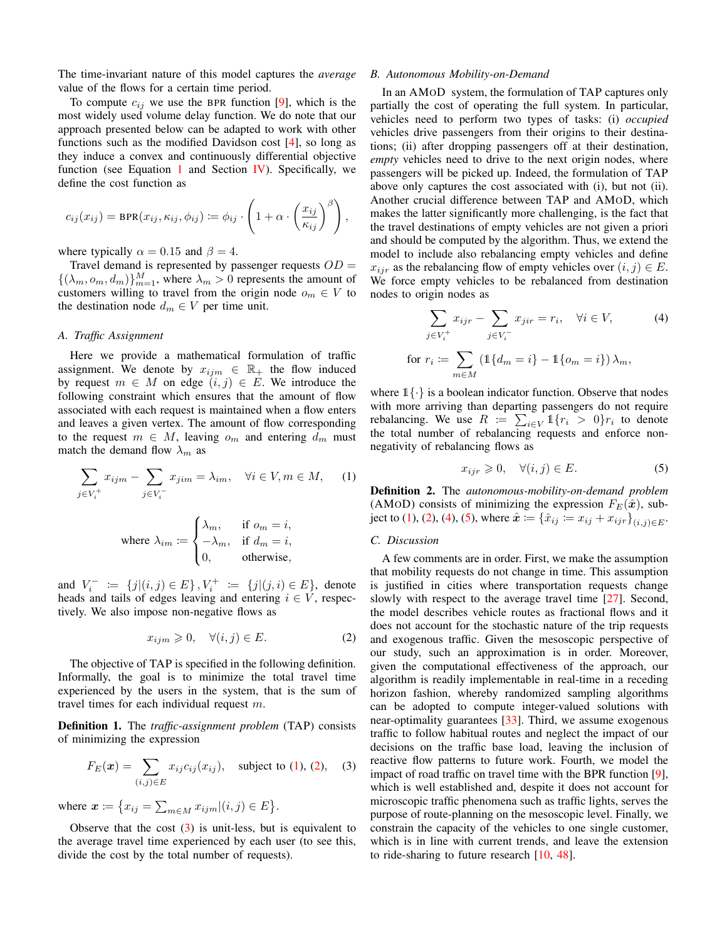The time-invariant nature of this model captures the *average* value of the flows for a certain time period.

To compute  $c_{ij}$  we use the BPR function [9], which is the most widely used volume delay function. We do note that our approach presented below can be adapted to work with other functions such as the modified Davidson cost  $[4]$ , so long as they induce a convex and continuously differential objective function (see Equation 1 and Section IV). Specifically, we define the cost function as

$$
c_{ij}(x_{ij}) = \text{BPR}(x_{ij}, \kappa_{ij}, \phi_{ij}) \coloneqq \phi_{ij} \cdot \left(1 + \alpha \cdot \left(\frac{x_{ij}}{\kappa_{ij}}\right)^{\beta}\right),
$$

where typically  $\alpha = 0.15$  and  $\beta = 4$ .

Travel demand is represented by passenger requests  $OD =$  $\{(\lambda_m, o_m, d_m)\}_{m=1}^M$ , where  $\lambda_m > 0$  represents the amount of customers willing to travel from the origin node  $o_m \in V$  to the destination node  $d_m \in V$  per time unit.

# A. Traffic Assignment

Here we provide a mathematical formulation of traffic assignment. We denote by  $x_{ijm} \in \mathbb{R}_+$  the flow induced by request  $m \in M$  on edge  $(i, j) \in E$ . We introduce the following constraint which ensures that the amount of flow associated with each request is maintained when a flow enters and leaves a given vertex. The amount of flow corresponding to the request  $m \in M$ , leaving  $o_m$  and entering  $d_m$  must match the demand flow  $\lambda_m$  as

$$
\sum_{j \in V_i^+} x_{ijm} - \sum_{j \in V_i^-} x_{jim} = \lambda_{im}, \quad \forall i \in V, m \in M,
$$
 (1)

where 
$$
\lambda_{im} := \begin{cases} \lambda_m, & \text{if } o_m = i, \\ -\lambda_m, & \text{if } d_m = i, \\ 0, & \text{otherwise,} \end{cases}
$$

and  $V_i^- := \{j | (i, j) \in E\}$ ,  $V_i^+ := \{j | (j, i) \in E\}$ , denote heads and tails of edges leaving and entering  $i \in V$ , respectively. We also impose non-negative flows as

$$
x_{ijm} \geq 0, \quad \forall (i,j) \in E. \tag{2}
$$

The objective of TAP is specified in the following definition. Informally, the goal is to minimize the total travel time experienced by the users in the system, that is the sum of travel times for each individual request  $m$ .

**Definition 1.** The *traffic-assignment problem* (TAP) consists of minimizing the expression

$$
F_E(\bm{x}) = \sum_{(i,j) \in E} x_{ij} c_{ij}(x_{ij}), \text{ subject to (1), (2), (3)}
$$

where  $x := \{x_{ij} = \sum_{m \in M} x_{ijm} | (i, j) \in E \}.$ 

Observe that the cost  $(3)$  is unit-less, but is equivalent to the average travel time experienced by each user (to see this, divide the cost by the total number of requests).

#### B. Autonomous Mobility-on-Demand

In an AMOD system, the formulation of TAP captures only partially the cost of operating the full system. In particular, vehicles need to perform two types of tasks: (i) occupied vehicles drive passengers from their origins to their destinations; (ii) after dropping passengers off at their destination, *empty* vehicles need to drive to the next origin nodes, where passengers will be picked up. Indeed, the formulation of TAP above only captures the cost associated with (i), but not (ii). Another crucial difference between TAP and AMOD, which makes the latter significantly more challenging, is the fact that the travel destinations of empty vehicles are not given a priori and should be computed by the algorithm. Thus, we extend the model to include also rebalancing empty vehicles and define  $x_{ijr}$  as the rebalancing flow of empty vehicles over  $(i, j) \in E$ . We force empty vehicles to be rebalanced from destination nodes to origin nodes as

$$
\sum_{j \in V_i^+} x_{ijr} - \sum_{j \in V_i^-} x_{jir} = r_i, \quad \forall i \in V,
$$
\n
$$
\text{for } r_i := \sum_{m \in M} \left( \mathbb{1} \{ d_m = i \} - \mathbb{1} \{ o_m = i \} \right) \lambda_m,
$$

where  $1\{\cdot\}$  is a boolean indicator function. Observe that nodes with more arriving than departing passengers do not require rebalancing. We use  $R := \sum_{i \in V} 1\{r_i > 0\} r_i$  to denote the total number of rebalancing requests and enforce nonnegativity of rebalancing flows as

$$
x_{ijr} \geq 0, \quad \forall (i,j) \in E. \tag{5}
$$

**Definition 2.** The autonomous-mobility-on-demand problem (AMoD) consists of minimizing the expression  $F_E(\hat{\boldsymbol{x}})$ , subject to (1), (2), (4), (5), where  $\hat{x} := \{\hat{x}_{ij} := x_{ij} + x_{ijr}\}_{(i,j) \in E}$ .

#### C. Discussion

A few comments are in order. First, we make the assumption that mobility requests do not change in time. This assumption is justified in cities where transportation requests change slowly with respect to the average travel time [27]. Second, the model describes vehicle routes as fractional flows and it does not account for the stochastic nature of the trip requests and exogenous traffic. Given the mesoscopic perspective of our study, such an approximation is in order. Moreover, given the computational effectiveness of the approach, our algorithm is readily implementable in real-time in a receding horizon fashion, whereby randomized sampling algorithms can be adopted to compute integer-valued solutions with near-optimality guarantees  $[33]$ . Third, we assume exogenous traffic to follow habitual routes and neglect the impact of our decisions on the traffic base load, leaving the inclusion of reactive flow patterns to future work. Fourth, we model the impact of road traffic on travel time with the BPR function [9], which is well established and, despite it does not account for microscopic traffic phenomena such as traffic lights, serves the purpose of route-planning on the mesoscopic level. Finally, we constrain the capacity of the vehicles to one single customer, which is in line with current trends, and leave the extension to ride-sharing to future research  $[10, 48]$ .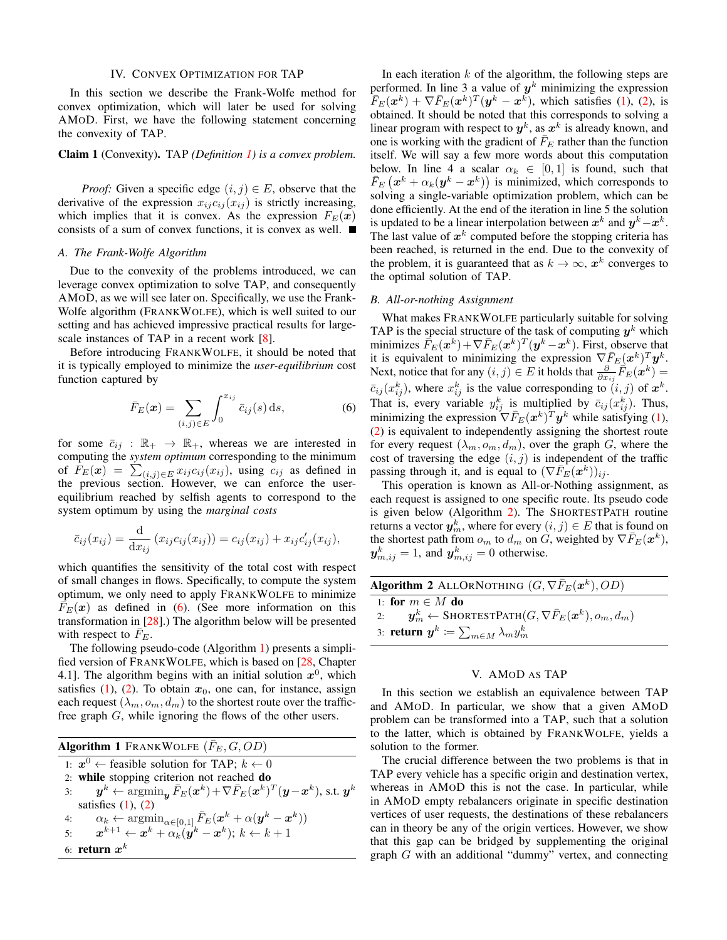#### **IV. CONVEX OPTIMIZATION FOR TAP**

In this section we describe the Frank-Wolfe method for convex optimization, which will later be used for solving AMOD. First, we have the following statement concerning the convexity of TAP.

# Claim 1 (Convexity). TAP (Definition 1) is a convex problem.

*Proof:* Given a specific edge  $(i, j) \in E$ , observe that the derivative of the expression  $x_{ij}c_{ij}(x_{ij})$  is strictly increasing, which implies that it is convex. As the expression  $F_E(x)$ consists of a sum of convex functions, it is convex as well.

# A. The Frank-Wolfe Algorithm

Due to the convexity of the problems introduced, we can leverage convex optimization to solve TAP, and consequently AMOD, as we will see later on. Specifically, we use the Frank-Wolfe algorithm (FRANKWOLFE), which is well suited to our setting and has achieved impressive practical results for largescale instances of TAP in a recent work [8].

Before introducing FRANKWOLFE, it should be noted that it is typically employed to minimize the *user-equilibrium* cost function captured by

$$
\bar{F}_E(\boldsymbol{x}) = \sum_{(i,j)\in E} \int_0^{x_{ij}} \bar{c}_{ij}(s) \, \mathrm{d}s,\tag{6}
$$

for some  $\bar{c}_{ij}$ :  $\mathbb{R}_+ \to \mathbb{R}_+$ , whereas we are interested in computing the system optimum corresponding to the minimum of  $F_E(x) = \sum_{(i,j) \in E} x_{ij} c_{ij}(x_{ij})$ , using  $c_{ij}$  as defined in the previous section. However, we can enforce the userequilibrium reached by selfish agents to correspond to the system optimum by using the *marginal costs* 

$$
\bar{c}_{ij}(x_{ij}) = \frac{d}{dx_{ij}} (x_{ij}c_{ij}(x_{ij})) = c_{ij}(x_{ij}) + x_{ij}c'_{ij}(x_{ij}),
$$

which quantifies the sensitivity of the total cost with respect of small changes in flows. Specifically, to compute the system optimum, we only need to apply FRANKWOLFE to minimize  $\overline{F}_E(x)$  as defined in (6). (See more information on this transformation in  $[28]$ .) The algorithm below will be presented with respect to  $F_E$ .

The following pseudo-code (Algorithm 1) presents a simplified version of FRANKWOLFE, which is based on [28, Chapter 4.1]. The algorithm begins with an initial solution  $x^0$ , which satisfies (1), (2). To obtain  $x_0$ , one can, for instance, assign each request  $(\lambda_m, o_m, d_m)$  to the shortest route over the trafficfree graph  $G$ , while ignoring the flows of the other users.

| <b>Algorithm 1</b> FRANKWOLFE $(\bar{F}_E, G, OD)$                                                                                                               |
|------------------------------------------------------------------------------------------------------------------------------------------------------------------|
| 1: $x^0 \leftarrow$ feasible solution for TAP; $k \leftarrow 0$                                                                                                  |
| 2: while stopping criterion not reached do                                                                                                                       |
| $\mathbf{y}^k \leftarrow \operatorname{argmin}_{\mathbf{y}} \bar{F}_E(\mathbf{x}^k) + \nabla \bar{F}_E(\mathbf{x}^k)^T (\mathbf{y} - \mathbf{x}^k)$ , s.t.<br>3: |
| satisfies $(1)$ , $(2)$                                                                                                                                          |
| $\alpha_k \leftarrow \mathop{\mathrm{argmin}}_{\alpha \in [0,1]} \bar{F}_E(\boldsymbol{x}^k + \alpha (\boldsymbol{y}^k - \boldsymbol{x}^k))$<br>4:               |
| 5: $\boldsymbol{x}^{k+1} \leftarrow \boldsymbol{x}^k + \alpha_k (\boldsymbol{y}^k - \boldsymbol{x}^k); k \leftarrow k+1$                                         |
| 6: return $x^k$                                                                                                                                                  |

 $y^k$ 

In each iteration  $k$  of the algorithm, the following steps are performed. In line 3 a value of  $y^k$  minimizing the expression  $\overline{F}_E(\bm{x}^k) + \nabla \overline{F}_E(\bm{x}^k)^T (\bm{y}^k - \bm{x}^k)$ , which satisfies (1), (2), is obtained. It should be noted that this corresponds to solving a linear program with respect to  $y^k$ , as  $x^k$  is already known, and one is working with the gradient of  $\bar{F}_E$  rather than the function itself. We will say a few more words about this computation below. In line 4 a scalar  $\alpha_k \in [0,1]$  is found, such that  $\bar{F}_E(x^k + \alpha_k(y^k - x^k))$  is minimized, which corresponds to solving a single-variable optimization problem, which can be done efficiently. At the end of the iteration in line 5 the solution is updated to be a linear interpolation between  $x^k$  and  $y^k - x^k$ . The last value of  $x^k$  computed before the stopping criteria has been reached, is returned in the end. Due to the convexity of the problem, it is guaranteed that as  $k \to \infty$ ,  $x^k$  converges to the optimal solution of TAP.

#### B. All-or-nothing Assignment

What makes FRANKWOLFE particularly suitable for solving TAP is the special structure of the task of computing  $y^k$  which minimizes  $\bar{F}_E(\boldsymbol{x}^k) + \nabla \bar{F}_E(\boldsymbol{x}^k)^T (\boldsymbol{y}^k - \boldsymbol{x}^k)$ . First, observe that it is equivalent to minimizing the expression  $\nabla \bar{F}_E(\boldsymbol{x}^k)^T \boldsymbol{y}^k$ . Next, notice that for any  $(i, j) \in E$  it holds that  $\frac{\partial}{\partial x_{ij}} \vec{F}_E(\mathbf{x}^k) =$  $\bar{c}_{ij}(x_{ij}^k)$ , where  $x_{ij}^k$  is the value corresponding to  $(i, j)$  of  $\mathbf{x}^k$ .<br>That is, every variable  $y_{ij}^k$  is multiplied by  $\bar{c}_{ij}(x_{ij}^k)$ . Thus, minimizing the expression  $\nabla \bar{F}_E(\boldsymbol{x}^k)^T \boldsymbol{y}^k$  while satisfying (1), (2) is equivalent to independently assigning the shortest route for every request  $(\lambda_m, o_m, d_m)$ , over the graph G, where the cost of traversing the edge  $(i, j)$  is independent of the traffic passing through it, and is equal to  $(\nabla \bar{F}_E(\bm{x}^k))_{ii}$ .

This operation is known as All-or-Nothing assignment, as each request is assigned to one specific route. Its pseudo code is given below (Algorithm 2). The SHORTESTPATH routine returns a vector  $y_m^k$ , where for every  $(i, j) \in E$  that is found on the shortest path from  $o_m$  to  $d_m$  on G, weighted by  $\nabla \overline{F}_E(\boldsymbol{x}^k)$ ,  $y_{m,ij}^k = 1$ , and  $y_{m,ij}^k = 0$  otherwise.

| <b>Algorithm 2</b> ALLORNOTHING $(G, \nabla \bar{F}_E(\boldsymbol{x}^k), OD)$          |
|----------------------------------------------------------------------------------------|
| 1: for $m \in M$ do                                                                    |
| 2: $y_m^k \leftarrow$ SHORTESTPATH $(G, \nabla \bar{F}_E(\boldsymbol{x}^k), o_m, d_m)$ |
| 3: <b>return</b> $y^k \coloneqq \sum_{m \in M} \lambda_m y_m^k$                        |

#### V. AMOD AS TAP

In this section we establish an equivalence between TAP and AMOD. In particular, we show that a given AMOD problem can be transformed into a TAP, such that a solution to the latter, which is obtained by FRANKWOLFE, yields a solution to the former.

The crucial difference between the two problems is that in TAP every vehicle has a specific origin and destination vertex, whereas in AMOD this is not the case. In particular, while in AMOD empty rebalancers originate in specific destination vertices of user requests, the destinations of these rebalancers can in theory be any of the origin vertices. However, we show that this gap can be bridged by supplementing the original graph  $G$  with an additional "dummy" vertex, and connecting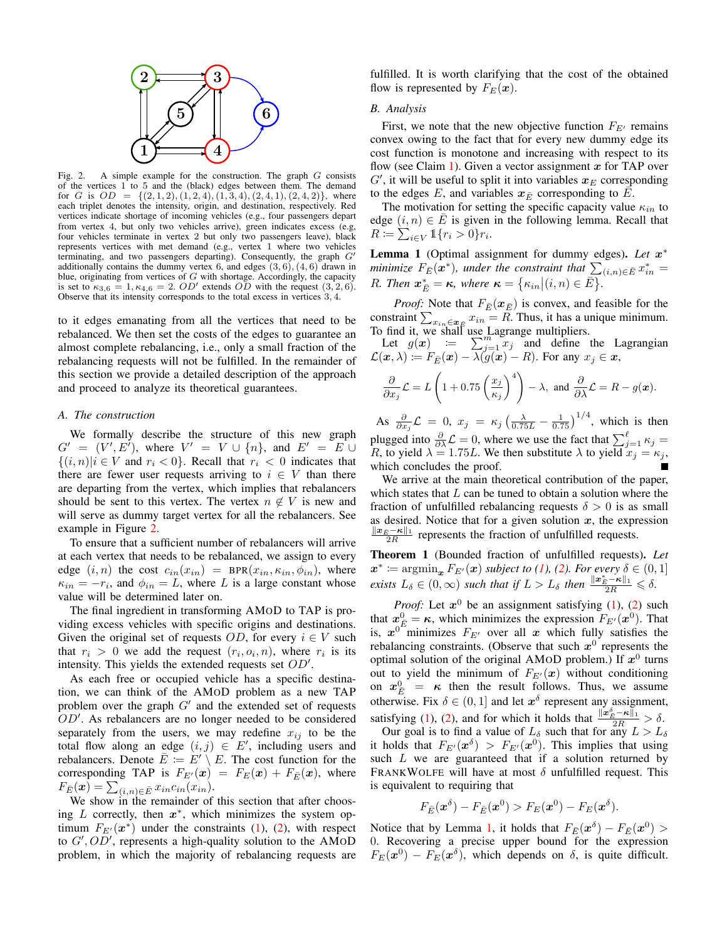

A simple example for the construction. The graph  $G$  consists Fig.  $2.$ of the vertices 1 to 5 and the (black) edges between them. The demand for G is  $OD = \{(2,1,2), (1,2,4), (1,3,4), (2,4,1), (2,4,2)\}\,$ , where each triplet denotes the intensity, origin, and destination, respectively. Red vertices indicate shortage of incoming vehicles (e.g., four passengers depart from vertex 4, but only two vehicles arrive), green indicates excess (e.g, four vehicles terminate in vertex 2 but only two passengers leave), black represents vertices with met demand (e.g., vertex 1 where two vehicles terminating, and two passengers departing). Consequently, the graph  $G$ additionally contains the dummy vertex 6, and edges  $(3, 6)$ ,  $(4, 6)$  drawn in blue, originating from vertices of  $G$  with shortage. Accordingly, the capacity is set to  $\kappa_{3,6} = 1, \kappa_{4,6} = 2$ .  $OD'$  extends  $OD$  with the request  $(3, 2, 6)$ . Observe that its intensity corresponds to the total excess in vertices  $3, 4$ .

to it edges emanating from all the vertices that need to be rebalanced. We then set the costs of the edges to guarantee an almost complete rebalancing, i.e., only a small fraction of the rebalancing requests will not be fulfilled. In the remainder of this section we provide a detailed description of the approach and proceed to analyze its theoretical guarantees.

#### A. The construction

We formally describe the structure of this new graph  $G' = (V', E')$ , where  $V' = V \cup \{n\}$ , and  $E' = E \cup$  $\{(i,n)|i\in V \text{ and } r_i < 0\}$ . Recall that  $r_i < 0$  indicates that there are fewer user requests arriving to  $i \in V$  than there are departing from the vertex, which implies that rebalancers should be sent to this vertex. The vertex  $n \notin V$  is new and will serve as dummy target vertex for all the rebalancers. See example in Figure 2.

To ensure that a sufficient number of rebalancers will arrive at each vertex that needs to be rebalanced, we assign to every edge  $(i, n)$  the cost  $c_{in}(x_{in})$  = BPR $(x_{in}, \kappa_{in}, \phi_{in})$ , where  $\kappa_{in} = -r_i$ , and  $\phi_{in} = L$ , where L is a large constant whose value will be determined later on.

The final ingredient in transforming AMOD to TAP is providing excess vehicles with specific origins and destinations. Given the original set of requests OD, for every  $i \in V$  such that  $r_i > 0$  we add the request  $(r_i, o_i, n)$ , where  $r_i$  is its intensity. This yields the extended requests set  $OD'.$ 

As each free or occupied vehicle has a specific destination, we can think of the AMOD problem as a new TAP problem over the graph  $G'$  and the extended set of requests  $OD'$ . As rebalancers are no longer needed to be considered separately from the users, we may redefine  $x_{ij}$  to be the total flow along an edge  $(i, j) \in E'$ , including users and rebalancers. Denote  $\overline{E} := E' \setminus E$ . The cost function for the corresponding TAP is  $F_{E'}(x) = F_E(x) + F_{\overline{E}}(x)$ , where  $F_{\bar{E}}(x) = \sum_{(i,n)\in \bar{E}} x_{in}c_{in}(x_{in}).$ 

We show in the remainder of this section that after choosing  $L$  correctly, then  $x^*$ , which minimizes the system optimum  $F_{E'}(x^*)$  under the constraints (1), (2), with respect to  $G', OD'$ , represents a high-quality solution to the AMOD problem, in which the majority of rebalancing requests are fulfilled. It is worth clarifying that the cost of the obtained flow is represented by  $F_E(\boldsymbol{x})$ .

# **B.** Analysis

First, we note that the new objective function  $F_{E'}$  remains convex owing to the fact that for every new dummy edge its cost function is monotone and increasing with respect to its flow (see Claim 1). Given a vector assignment  $x$  for TAP over  $G'$ , it will be useful to split it into variables  $x_F$  corresponding to the edges E, and variables  $x_{\overline{E}}$  corresponding to E.

The motivation for setting the specific capacity value  $\kappa_{in}$  to edge  $(i, n) \in \overline{E}$  is given in the following lemma. Recall that  $R \coloneqq \sum_{i \in V} \mathbb{1}\{r_i > 0\}r_i.$ 

Lemma 1 (Optimal assignment for dummy edges). Let  $x^*$ minimize  $F_{\vec{E}}(\vec{x}^*)$ , under the constraint that  $\sum_{(i,n)\in \vec{E}} x_{in}^* = R$ . Then  $\mathbf{x}_{\vec{E}}^* = \kappa$ , where  $\kappa = {\kappa_{in} | (i, n) \in \vec{E}}$ .

*Proof:* Note that  $F_{\overline{E}}(x_{\overline{E}})$  is convex, and feasible for the constraint  $\sum_{x_{in} \in \mathbf{x}_E} x_{in} = R$ . Thus, it has a unique minimum.<br>To find it, we shall use Lagrange multipliers.<br>Let  $g(\mathbf{x}) := \sum_{j=1}^{m} x_j$  and define the Lagrangian<br> $\mathcal{L}(\mathbf{x}, \lambda) := F_E(\mathbf{x}) - \lambda(g(\mathbf{x}) - R)$ . For any  $x_j \in \mathbf$ 

$$
\frac{\partial}{\partial x_j}\mathcal{L} = L\left(1 + 0.75\left(\frac{x_j}{\kappa_j}\right)^4\right) - \lambda, \text{ and } \frac{\partial}{\partial \lambda}\mathcal{L} = R - g(\boldsymbol{x}).
$$

As  $\frac{\partial}{\partial x_i} \mathcal{L} = 0$ ,  $x_j = \kappa_j \left( \frac{\lambda}{0.75L} - \frac{1}{0.75} \right)^{1/4}$ , which is then plugged into  $\frac{\partial}{\partial \lambda} \mathcal{L} = 0$ , where we use the fact that  $\sum_{j=1}^{\ell} \kappa_j = R$ , to yield  $\lambda = 1.75L$ . We then substitute  $\lambda$  to yield  $x_j = \kappa_j$ , which concludes the proof.

We arrive at the main theoretical contribution of the paper, which states that  $L$  can be tuned to obtain a solution where the fraction of unfulfilled rebalancing requests  $\delta > 0$  is as small as desired. Notice that for a given solution  $x$ , the expression  $\frac{\|x_{\bar{E}} - \kappa\|_1}{2R}$  represents the fraction of unfulfilled requests.

Theorem 1 (Bounded fraction of unfulfilled requests). Let  $x^* := \operatorname{argmin}_{x} F_{E'}(x)$  subject to (1), (2). For every  $\delta \in (0, 1]$ <br>exists  $L_{\delta} \in (0, \infty)$  such that if  $L > L_{\delta}$  then  $\frac{||x_{E}^* - \kappa||_1}{2R} \leq \delta$ .

*Proof:* Let  $x^0$  be an assignment satisfying (1), (2) such that  $x^0_{\overline{F}} = \kappa$ , which minimizes the expression  $F_{E'}(x^0)$ . That is,  $x^{0}$ <sup>"</sup>minimizes  $F_{E}$  over all x which fully satisfies the rebalancing constraints. (Observe that such  $x^0$  represents the optimal solution of the original AMoD problem.) If  $x^0$  turns out to yield the minimum of  $F_{E'}(x)$  without conditioning on  $x_{\overline{E}}^0 = \kappa$  then the result follows. Thus, we assume otherwise. Fix  $\delta \in (0, 1]$  and let  $x^{\delta}$  represent any assignment,

satisfying (1), (2), and for which it holds that  $\frac{\|x_E^{\delta} - \kappa\|_1}{2R} > \delta$ .<br>Our goal is to find a value of  $L_{\delta}$  such that for any  $L > L_{\delta}$ <br>it holds that  $F_{E'}(x^{\delta}) > F_{E'}(x^0)$ . This implies that using such  $L$  we are guaranteed that if a solution returned by FRANKWOLFE will have at most  $\delta$  unfulfilled request. This is equivalent to requiring that

$$
F_{\bar{E}}(\boldsymbol{x}^{\delta}) - F_{\bar{E}}(\boldsymbol{x}^0) > F_E(\boldsymbol{x}^0) - F_E(\boldsymbol{x}^{\delta}).
$$

Notice that by Lemma 1, it holds that  $F_{\bar{E}}(x^{\delta}) - F_{\bar{E}}(x^0)$ 0. Recovering a precise upper bound for the expression  $F_E(\boldsymbol{x}^0) - F_E(\boldsymbol{x}^\delta)$ , which depends on  $\delta$ , is quite difficult.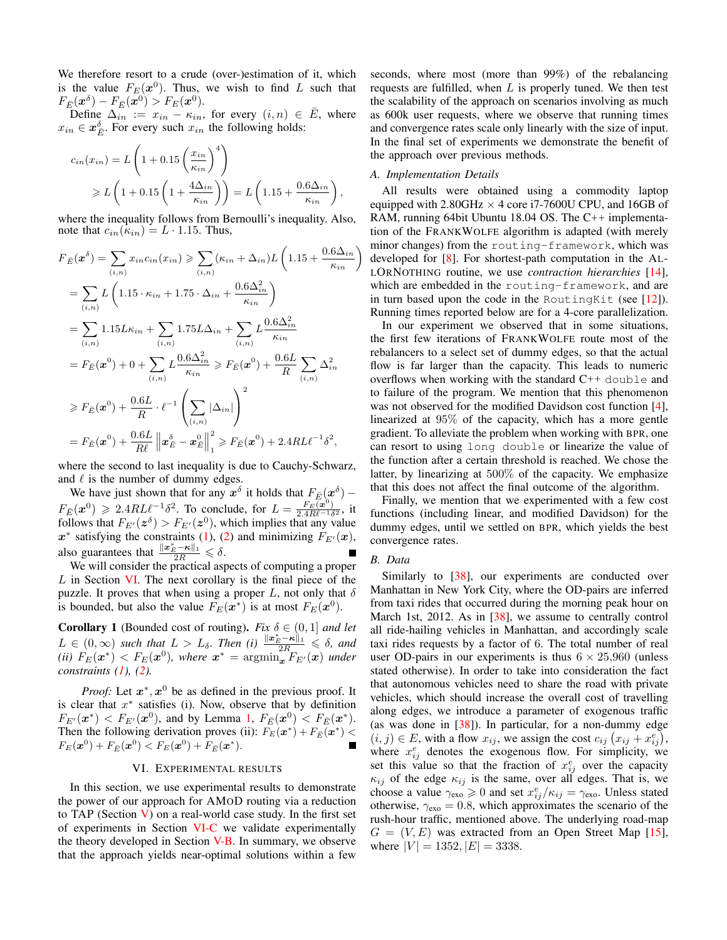We therefore resort to a crude (over-)estimation of it, which is the value  $F_E(x^0)$ . Thus, we wish to find L such that  $F_{\bar{E}}(x^{\delta}) - F_{\bar{E}}(x^0) > F_E(x^0).$ 

Define  $\Delta_{in} := x_{in} - \kappa_{in}$ , for every  $(i, n) \in \overline{E}$ , where  $x_{in} \in \mathbf{x}_{\overline{F}}^{\delta}$ . For every such  $x_{in}$  the following holds:

$$
c_{in}(x_{in}) = L\left(1 + 0.15\left(\frac{x_{in}}{\kappa_{in}}\right)^4\right)
$$
  
\n
$$
\geq L\left(1 + 0.15\left(1 + \frac{4\Delta_{in}}{\kappa_{in}}\right)\right) = L\left(1.15 + \frac{0.6\Delta_{in}}{\kappa_{in}}\right),
$$

where the inequality follows from Bernoulli's inequality. Also, note that  $c_{in}(\kappa_{in}) = L \cdot 1.15$ . Thus,

$$
F_{\bar{E}}(\boldsymbol{x}^{\delta}) = \sum_{(i,n)} x_{in} c_{in}(x_{in}) \ge \sum_{(i,n)} (\kappa_{in} + \Delta_{in}) L \left( 1.15 + \frac{0.6 \Delta_{in}}{\kappa_{in}} \right)
$$
  
\n
$$
= \sum_{(i,n)} L \left( 1.15 \cdot \kappa_{in} + 1.75 \cdot \Delta_{in} + \frac{0.6 \Delta_{in}^2}{\kappa_{in}} \right)
$$
  
\n
$$
= \sum_{(i,n)} 1.15 L \kappa_{in} + \sum_{(i,n)} 1.75 L \Delta_{in} + \sum_{(i,n)} L \frac{0.6 \Delta_{in}^2}{\kappa_{in}}
$$
  
\n
$$
= F_{\bar{E}}(\boldsymbol{x}^0) + 0 + \sum_{(i,n)} L \frac{0.6 \Delta_{in}^2}{\kappa_{in}} \ge F_{\bar{E}}(\boldsymbol{x}^0) + \frac{0.6 L}{R} \sum_{(i,n)} \Delta_{in}^2
$$
  
\n
$$
\ge F_{\bar{E}}(\boldsymbol{x}^0) + \frac{0.6 L}{R} \cdot \ell^{-1} \left( \sum_{(i,n)} |\Delta_{in}| \right)^2
$$
  
\n
$$
= F_{\bar{E}}(\boldsymbol{x}^0) + \frac{0.6 L}{R \ell} \left\| \boldsymbol{x}^{\delta}_{\bar{E}} - \boldsymbol{x}^0_{\bar{E}} \right\|_1^2 \ge F_{\bar{E}}(\boldsymbol{x}^0) + 2.4 R L \ell^{-1} \delta^2,
$$

where the second to last inequality is due to Cauchy-Schwarz, and  $\ell$  is the number of dummy edges.

We have just shown that for any  $x^{\delta}$  it holds that  $F_{\overline{E}}(x^{\delta})$  -<br>  $F_{\overline{E}}(x^0) \ge 2.4RL\ell^{-1}\delta^2$ . To conclude, for  $L = \frac{F_E(x^0)}{2.4R\ell^{-1}\delta^2}$ , it<br>
follows that  $F_{E'}(z^{\delta}) > F_{E'}(z^0)$ , which implies that any value  $x^*$  satisfying the constraints (1), (2) and minimizing  $F_{E'}(x)$ , also guarantees that  $\frac{\|\boldsymbol{x}_{\hat{E}}^* - \boldsymbol{\kappa}\|_1}{2R} \le \delta$ .<br>We will consider the practical aspects of computing a proper

 $L$  in Section VI. The next corollary is the final piece of the puzzle. It proves that when using a proper L, not only that  $\delta$ is bounded, but also the value  $F_E(\boldsymbol{x}^*)$  is at most  $F_E(\boldsymbol{x}^0)$ .

**Corollary 1** (Bounded cost of routing). Fix  $\delta \in (0, 1]$  and let  $L\in (0,\infty)$  such that  $L>L_{\delta}$ . Then (i)  $\frac{\|x_{\delta}^*-\kappa\|_1}{2R}\leq \delta$ , and (ii)  $F_E(\boldsymbol{x}^*)$  <  $F_E(\boldsymbol{x}^0)$ , where  $\boldsymbol{x}^* = \operatorname{argmin}_{\boldsymbol{x}} F_{E'}(\boldsymbol{x})$  under constraints  $(1)$ ,  $(2)$ .

*Proof:* Let  $x^*$ ,  $x^0$  be as defined in the previous proof. It is clear that  $x^*$  satisfies (i). Now, observe that by definition  $F_{E'}(\mathbf{x}^*)$  <  $F_{E'}(\mathbf{x}^0)$ , and by Lemma 1,  $F_{\bar{E}}(\mathbf{x}^0)$  <  $F_{\bar{E}}(\mathbf{x}^*)$ . Then the following derivation proves (ii):  $F_E(\mathbf{x}^*) + F_{\overline{E}}(\mathbf{x}^*)$  $F_E(\mathbf{x}^0) + F_{\bar{E}}(\mathbf{x}^0) < F_E(\mathbf{x}^0) + F_{\bar{E}}(\mathbf{x}^*).$ 

# VI. EXPERIMENTAL RESULTS

In this section, we use experimental results to demonstrate the power of our approach for AMoD routing via a reduction to TAP (Section  $V$ ) on a real-world case study. In the first set of experiments in Section VI-C we validate experimentally the theory developed in Section V-B. In summary, we observe that the approach yields near-optimal solutions within a few seconds, where most (more than 99%) of the rebalancing requests are fulfilled, when  $L$  is properly tuned. We then test the scalability of the approach on scenarios involving as much as 600k user requests, where we observe that running times and convergence rates scale only linearly with the size of input. In the final set of experiments we demonstrate the benefit of the approach over previous methods.

# A. Implementation Details

All results were obtained using a commodity laptop equipped with 2.80GHz  $\times$  4 core i7-7600U CPU, and 16GB of RAM, running 64bit Ubuntu 18.04 OS. The C++ implementation of the FRANKWOLFE algorithm is adapted (with merely minor changes) from the routing-framework, which was developed for  $[8]$ . For shortest-path computation in the AL-LORNOTHING routine, we use *contraction hierarchies* [14], which are embedded in the routing-framework, and are in turn based upon the code in the RoutingKit (see [12]). Running times reported below are for a 4-core parallelization.

In our experiment we observed that in some situations, the first few iterations of FRANKWOLFE route most of the rebalancers to a select set of dummy edges, so that the actual flow is far larger than the capacity. This leads to numeric overflows when working with the standard  $C++$  double and to failure of the program. We mention that this phenomenon was not observed for the modified Davidson cost function  $[4]$ , linearized at 95% of the capacity, which has a more gentle gradient. To alleviate the problem when working with BPR, one can resort to using long double or linearize the value of the function after a certain threshold is reached. We chose the latter, by linearizing at  $500\%$  of the capacity. We emphasize that this does not affect the final outcome of the algorithm.

Finally, we mention that we experimented with a few cost functions (including linear, and modified Davidson) for the dummy edges, until we settled on BPR, which yields the best convergence rates.

# B. Data

Similarly to  $[38]$ , our experiments are conducted over Manhattan in New York City, where the OD-pairs are inferred from taxi rides that occurred during the morning peak hour on March 1st, 2012. As in [38], we assume to centrally control all ride-hailing vehicles in Manhattan, and accordingly scale taxi rides requests by a factor of 6. The total number of real user OD-pairs in our experiments is thus  $6 \times 25,960$  (unless stated otherwise). In order to take into consideration the fact that autonomous vehicles need to share the road with private vehicles, which should increase the overall cost of travelling along edges, we introduce a parameter of exogenous traffic (as was done in  $[38]$ ). In particular, for a non-dummy edge  $(i, j) \in E$ , with a flow  $x_{ij}$ , we assign the cost  $c_{ij}$   $(x_{ij} + x_{ij}^e)$ , where  $x_{ij}^e$  denotes the exogenous flow. For simplicity, we set this value so that the fraction of  $x_{ii}^e$  over the capacity  $\kappa_{ij}$  of the edge  $\kappa_{ij}$  is the same, over all edges. That is, we choose a value  $\gamma_{\text{exo}} \geq 0$  and set  $x_{ij}^e / \kappa_{ij} = \gamma_{\text{exo}}$ . Unless stated otherwise,  $\gamma_{\text{exo}} = 0.8$ , which approximates the scenario of the rush-hour traffic, mentioned above. The underlying road-map  $G = (V, E)$  was extracted from an Open Street Map [15], where  $|V| = 1352, |E| = 3338.$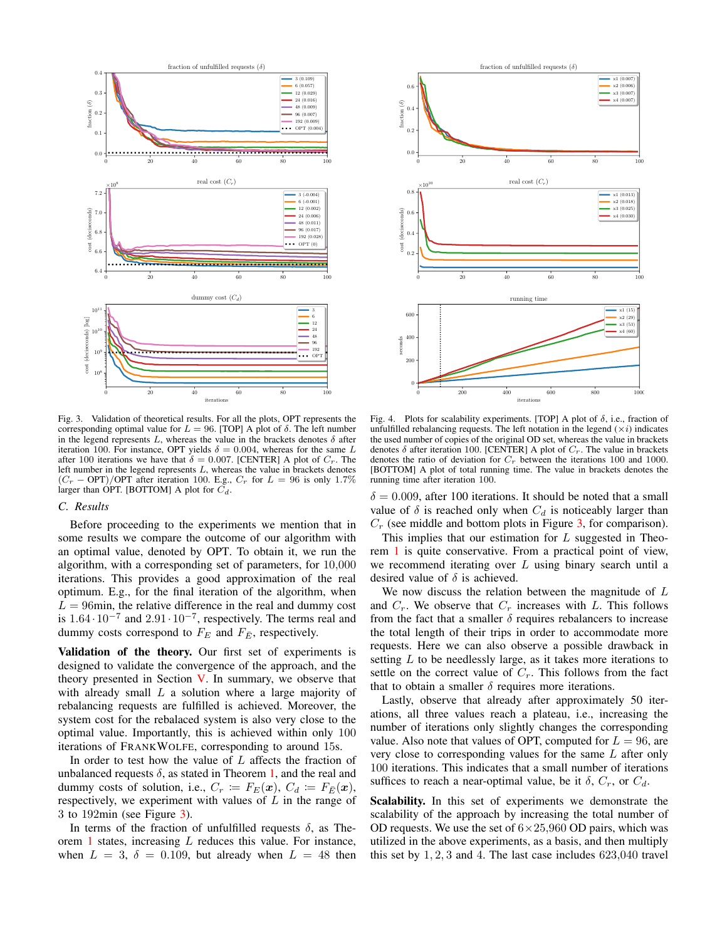

Fig. 3. Validation of theoretical results. For all the plots, OPT represents the corresponding optimal value for  $L = 96$ . [TOP] A plot of  $\delta$ . The left number in the legend represents  $L$ , whereas the value in the brackets denotes  $\delta$  after iteration 100. For instance, OPT yields  $\delta = 0.004$ , whereas for the same L after 100 iterations we have that  $\delta = 0.007$ . [CENTER] A plot of  $C_r$ . The left number in the legend represents  $L$ , whereas the value in brackets denotes  $(C_r - \text{OPT}) / \text{OPT}$  after iteration 100. E.g.,  $C_r$  for  $L = 96$  is only 1.7% larger than OPT. [BOTTOM] A plot for  $C_d$ .

#### C. Results

Before proceeding to the experiments we mention that in some results we compare the outcome of our algorithm with an optimal value, denoted by OPT. To obtain it, we run the algorithm, with a corresponding set of parameters, for 10,000 iterations. This provides a good approximation of the real optimum. E.g., for the final iteration of the algorithm, when  $L = 96$ min, the relative difference in the real and dummy cost is  $1.64 \cdot 10^{-7}$  and  $2.91 \cdot 10^{-7}$ , respectively. The terms real and dummy costs correspond to  $F_E$  and  $F_{\overline{E}}$ , respectively.

Validation of the theory. Our first set of experiments is designed to validate the convergence of the approach, and the theory presented in Section V. In summary, we observe that with already small  $L$  a solution where a large majority of rebalancing requests are fulfilled is achieved. Moreover, the system cost for the rebalaced system is also very close to the optimal value. Importantly, this is achieved within only 100 iterations of FRANKWOLFE, corresponding to around 15s.

In order to test how the value of  $L$  affects the fraction of unbalanced requests  $\delta$ , as stated in Theorem 1, and the real and dummy costs of solution, i.e.,  $C_r \coloneqq F_E(\boldsymbol{x}), C_d \coloneqq F_{\bar{E}}(\boldsymbol{x}),$ respectively, we experiment with values of  $L$  in the range of 3 to 192 $\text{min}$  (see Figure 3).

In terms of the fraction of unfulfilled requests  $\delta$ , as Theorem 1 states, increasing  $L$  reduces this value. For instance, when  $L = 3$ ,  $\delta = 0.109$ , but already when  $L = 48$  then



Fig. 4. Plots for scalability experiments. [TOP] A plot of  $\delta$ , i.e., fraction of unfulfilled rebalancing requests. The left notation in the legend  $(\times i)$  indicates the used number of copies of the original OD set, whereas the value in brackets denotes  $\delta$  after iteration 100. [CENTER] A plot of  $C_r$ . The value in brackets denotes the ratio of deviation for  $C_r$  between the iterations 100 and 1000. [BOTTOM] A plot of total running time. The value in brackets denotes the running time after iteration 100.

 $\delta = 0.009$ , after 100 iterations. It should be noted that a small value of  $\delta$  is reached only when  $C_d$  is noticeably larger than  $C_r$  (see middle and bottom plots in Figure 3, for comparison).

This implies that our estimation for L suggested in Theorem 1 is quite conservative. From a practical point of view, we recommend iterating over  $L$  using binary search until a desired value of  $\delta$  is achieved.

We now discuss the relation between the magnitude of  $L$ and  $C_r$ . We observe that  $C_r$  increases with L. This follows from the fact that a smaller  $\delta$  requires rebalancers to increase the total length of their trips in order to accommodate more requests. Here we can also observe a possible drawback in setting  $L$  to be needlessly large, as it takes more iterations to settle on the correct value of  $C_r$ . This follows from the fact that to obtain a smaller  $\delta$  requires more iterations.

Lastly, observe that already after approximately 50 iterations, all three values reach a plateau, *i.e.*, increasing the number of iterations only slightly changes the corresponding value. Also note that values of OPT, computed for  $L = 96$ , are very close to corresponding values for the same  $L$  after only 100 iterations. This indicates that a small number of iterations suffices to reach a near-optimal value, be it  $\delta$ ,  $C_r$ , or  $C_d$ .

Scalability. In this set of experiments we demonstrate the scalability of the approach by increasing the total number of OD requests. We use the set of  $6 \times 25,960$  OD pairs, which was utilized in the above experiments, as a basis, and then multiply this set by  $1, 2, 3$  and 4. The last case includes  $623,040$  travel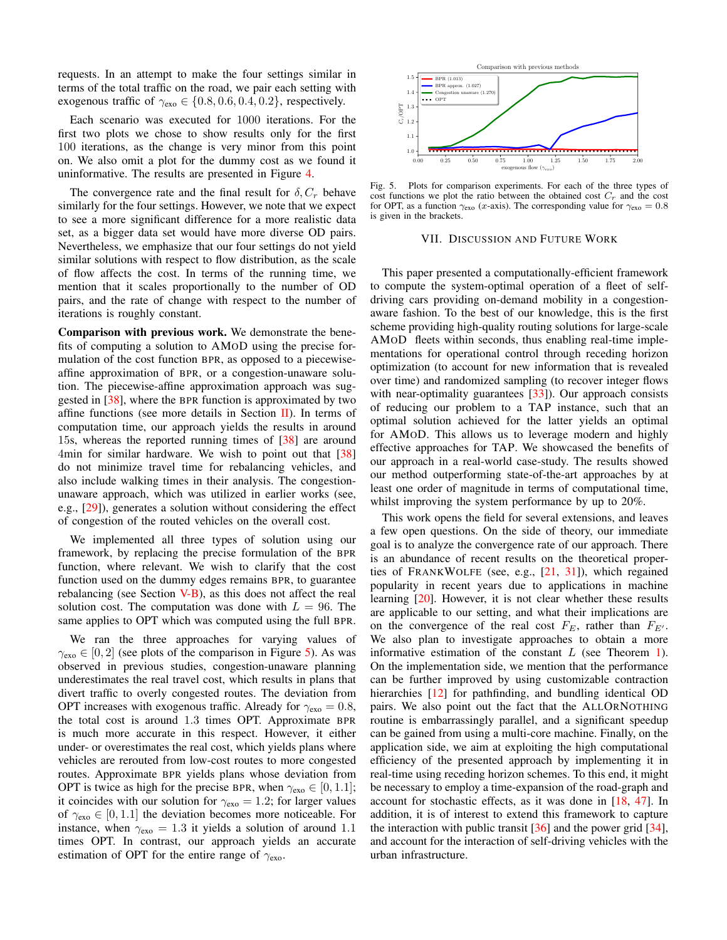requests. In an attempt to make the four settings similar in terms of the total traffic on the road, we pair each setting with exogenous traffic of  $\gamma_{\text{exo}} \in \{0.8, 0.6, 0.4, 0.2\}$ , respectively.

Each scenario was executed for 1000 iterations. For the first two plots we chose to show results only for the first 100 iterations, as the change is very minor from this point on. We also omit a plot for the dummy cost as we found it uninformative. The results are presented in Figure 4.

The convergence rate and the final result for  $\delta$ ,  $C_r$  behave similarly for the four settings. However, we note that we expect to see a more significant difference for a more realistic data set, as a bigger data set would have more diverse OD pairs. Nevertheless, we emphasize that our four settings do not yield similar solutions with respect to flow distribution, as the scale of flow affects the cost. In terms of the running time, we mention that it scales proportionally to the number of OD pairs, and the rate of change with respect to the number of iterations is roughly constant.

Comparison with previous work. We demonstrate the benefits of computing a solution to AMoD using the precise formulation of the cost function BPR, as opposed to a piecewiseaffine approximation of BPR, or a congestion-unaware solution. The piecewise-affine approximation approach was suggested in [38], where the BPR function is approximated by two affine functions (see more details in Section II). In terms of computation time, our approach yields the results in around 15s, whereas the reported running times of [38] are around 4min for similar hardware. We wish to point out that [38] do not minimize travel time for rebalancing vehicles, and also include walking times in their analysis. The congestionunaware approach, which was utilized in earlier works (see, e.g.,  $[29]$ ), generates a solution without considering the effect of congestion of the routed vehicles on the overall cost.

We implemented all three types of solution using our framework, by replacing the precise formulation of the BPR function, where relevant. We wish to clarify that the cost function used on the dummy edges remains BPR, to guarantee rebalancing (see Section V-B), as this does not affect the real solution cost. The computation was done with  $L = 96$ . The same applies to OPT which was computed using the full BPR.

We ran the three approaches for varying values of  $\gamma_{\rm exo} \in [0,2]$  (see plots of the comparison in Figure 5). As was observed in previous studies, congestion-unaware planning underestimates the real travel cost, which results in plans that divert traffic to overly congested routes. The deviation from OPT increases with exogenous traffic. Already for  $\gamma_{\rm exo} = 0.8$ , the total cost is around 1.3 times OPT. Approximate BPR is much more accurate in this respect. However, it either under- or overestimates the real cost, which yields plans where vehicles are rerouted from low-cost routes to more congested routes. Approximate BPR yields plans whose deviation from OPT is twice as high for the precise BPR, when  $\gamma_{\text{exo}} \in [0, 1.1]$ ; it coincides with our solution for  $\gamma_{\text{exo}} = 1.2$ ; for larger values of  $\gamma_{\text{exo}} \in [0, 1.1]$  the deviation becomes more noticeable. For instance, when  $\gamma_{\text{exo}} = 1.3$  it yields a solution of around 1.1 times OPT. In contrast, our approach yields an accurate estimation of OPT for the entire range of  $\gamma_{\text{exo}}$ .



Fig. 5. Plots for comparison experiments. For each of the three types of cost functions we plot the ratio between the obtained cost  $C_r$  and the cost for OPT, as a function  $\gamma_{\text{exo}}$  (*x*-axis). The corresponding value for  $\gamma_{\text{exo}} = 0.8$ is given in the brackets.

# VII. DISCUSSION AND FUTURE WORK

This paper presented a computationally-efficient framework to compute the system-optimal operation of a fleet of selfdriving cars providing on-demand mobility in a congestionaware fashion. To the best of our knowledge, this is the first scheme providing high-quality routing solutions for large-scale AMOD fleets within seconds, thus enabling real-time implementations for operational control through receding horizon optimization (to account for new information that is revealed over time) and randomized sampling (to recover integer flows with near-optimality guarantees  $[33]$ ). Our approach consists of reducing our problem to a TAP instance, such that an optimal solution achieved for the latter yields an optimal for AMOD. This allows us to leverage modern and highly effective approaches for TAP. We showcased the benefits of our approach in a real-world case-study. The results showed our method outperforming state-of-the-art approaches by at least one order of magnitude in terms of computational time, whilst improving the system performance by up to 20%.

This work opens the field for several extensions, and leaves a few open questions. On the side of theory, our immediate goal is to analyze the convergence rate of our approach. There is an abundance of recent results on the theoretical properties of FRANKWOLFE (see, e.g., [21, 31]), which regained popularity in recent years due to applications in machine learning  $[20]$ . However, it is not clear whether these results are applicable to our setting, and what their implications are on the convergence of the real cost  $F_E$ , rather than  $F_{E'}$ . We also plan to investigate approaches to obtain a more informative estimation of the constant  $L$  (see Theorem 1). On the implementation side, we mention that the performance can be further improved by using customizable contraction hierarchies [12] for pathfinding, and bundling identical OD pairs. We also point out the fact that the ALLORNOTHING routine is embarrassingly parallel, and a significant speedup can be gained from using a multi-core machine. Finally, on the application side, we aim at exploiting the high computational efficiency of the presented approach by implementing it in real-time using receding horizon schemes. To this end, it might be necessary to employ a time-expansion of the road-graph and account for stochastic effects, as it was done in  $[18, 47]$ . In addition, it is of interest to extend this framework to capture the interaction with public transit  $[36]$  and the power grid  $[34]$ , and account for the interaction of self-driving vehicles with the urban infrastructure.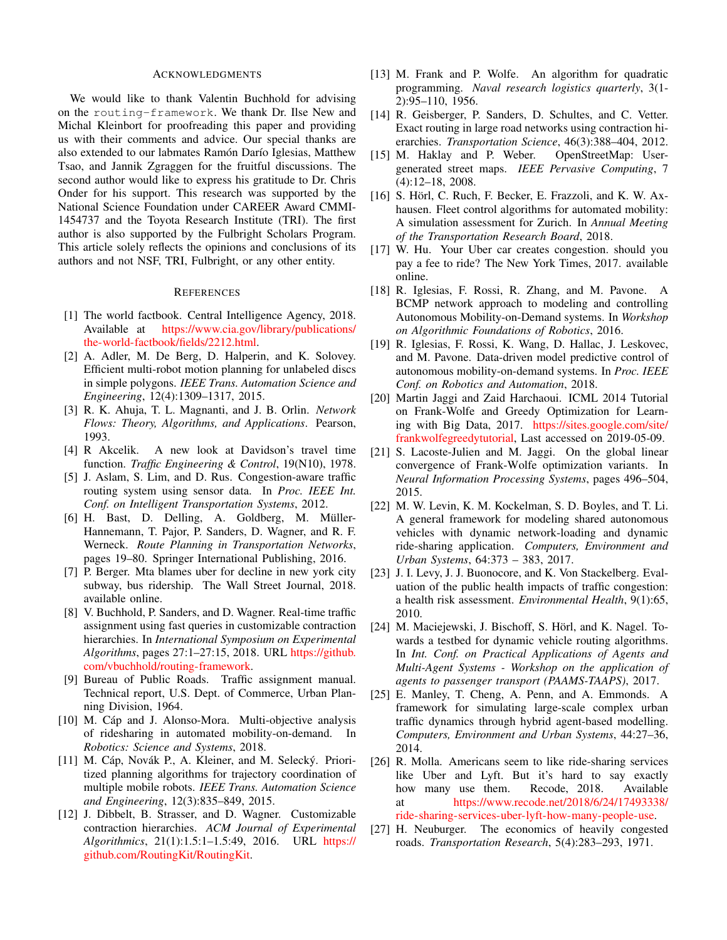### **ACKNOWLEDGMENTS**

We would like to thank Valentin Buchhold for advising on the routing-framework. We thank Dr. Ilse New and Michal Kleinbort for proofreading this paper and providing us with their comments and advice. Our special thanks are also extended to our labmates Ramón Darío Iglesias, Matthew Tsao, and Jannik Zgraggen for the fruitful discussions. The second author would like to express his gratitude to Dr. Chris Onder for his support. This research was supported by the National Science Foundation under CAREER Award CMMI-1454737 and the Toyota Research Institute (TRI). The first author is also supported by the Fulbright Scholars Program. This article solely reflects the opinions and conclusions of its authors and not NSF, TRI, Fulbright, or any other entity.

## **REFERENCES**

- [1] The world factbook. Central Intelligence Agency, 2018. Available at https://www.cia.gov/library/publications/ the-world-factbook/fields/2212.html.
- [2] A. Adler, M. De Berg, D. Halperin, and K. Solovey. Efficient multi-robot motion planning for unlabeled discs in simple polygons. IEEE Trans. Automation Science and Engineering, 12(4):1309-1317, 2015.
- [3] R. K. Ahuja, T. L. Magnanti, and J. B. Orlin. Network Flows: Theory, Algorithms, and Applications. Pearson, 1993.
- [4] R Akcelik. A new look at Davidson's travel time function. Traffic Engineering & Control, 19(N10), 1978.
- [5] J. Aslam, S. Lim, and D. Rus. Congestion-aware traffic routing system using sensor data. In *Proc. IEEE Int.* Conf. on Intelligent Transportation Systems, 2012.
- [6] H. Bast, D. Delling, A. Goldberg, M. Müller-Hannemann, T. Pajor, P. Sanders, D. Wagner, and R. F. Werneck. Route Planning in Transportation Networks, pages 19-80. Springer International Publishing, 2016.
- [7] P. Berger. Mta blames uber for decline in new york city subway, bus ridership. The Wall Street Journal, 2018. available online.
- [8] V. Buchhold, P. Sanders, and D. Wagner. Real-time traffic assignment using fast queries in customizable contraction hierarchies. In International Symposium on Experimental Algorithms, pages 27:1-27:15, 2018. URL https://github. com/vbuchhold/routing-framework.
- [9] Bureau of Public Roads. Traffic assignment manual. Technical report, U.S. Dept. of Commerce, Urban Planning Division, 1964.
- [10] M. Cáp and J. Alonso-Mora. Multi-objective analysis of ridesharing in automated mobility-on-demand. In Robotics: Science and Systems, 2018.
- [11] M. Cáp, Novák P., A. Kleiner, and M. Selecký. Prioritized planning algorithms for trajectory coordination of multiple mobile robots. IEEE Trans. Automation Science and Engineering, 12(3):835-849, 2015.
- [12] J. Dibbelt, B. Strasser, and D. Wagner. Customizable contraction hierarchies. ACM Journal of Experimental Algorithmics, 21(1):1.5:1-1.5:49, 2016. URL https:// github.com/RoutingKit/RoutingKit.
- [13] M. Frank and P. Wolfe. An algorithm for quadratic programming. Naval research logistics quarterly, 3(1- $2):95-110, 1956.$
- [14] R. Geisberger, P. Sanders, D. Schultes, and C. Vetter. Exact routing in large road networks using contraction hierarchies. Transportation Science, 46(3):388-404, 2012.
- [15] M. Haklay and P. Weber. OpenStreetMap: Usergenerated street maps. IEEE Pervasive Computing, 7  $(4):12-18, 2008.$
- [16] S. Hörl, C. Ruch, F. Becker, E. Frazzoli, and K. W. Axhausen. Fleet control algorithms for automated mobility: A simulation assessment for Zurich. In Annual Meeting of the Transportation Research Board, 2018.
- $[17]$ W. Hu. Your Uber car creates congestion, should you pay a fee to ride? The New York Times, 2017. available online.
- [18] R. Iglesias, F. Rossi, R. Zhang, and M. Pavone. A BCMP network approach to modeling and controlling Autonomous Mobility-on-Demand systems. In Workshop on Algorithmic Foundations of Robotics, 2016.
- [19] R. Iglesias, F. Rossi, K. Wang, D. Hallac, J. Leskovec, and M. Pavone. Data-driven model predictive control of autonomous mobility-on-demand systems. In Proc. IEEE Conf. on Robotics and Automation, 2018.
- [20] Martin Jaggi and Zaid Harchaoui. ICML 2014 Tutorial on Frank-Wolfe and Greedy Optimization for Learning with Big Data, 2017. https://sites.google.com/site/ frankwolfegreedytutorial, Last accessed on 2019-05-09.
- S. Lacoste-Julien and M. Jaggi. On the global linear  $[21]$ convergence of Frank-Wolfe optimization variants. In Neural Information Processing Systems, pages 496–504, 2015.
- [22] M. W. Levin, K. M. Kockelman, S. D. Boyles, and T. Li. A general framework for modeling shared autonomous vehicles with dynamic network-loading and dynamic ride-sharing application. Computers, Environment and Urban Systems, 64:373 - 383, 2017.
- [23] J. I. Levy, J. J. Buonocore, and K. Von Stackelberg. Evaluation of the public health impacts of traffic congestion: a health risk assessment. Environmental Health, 9(1):65, 2010.
- [24] M. Maciejewski, J. Bischoff, S. Hörl, and K. Nagel. Towards a testbed for dynamic vehicle routing algorithms. In *Int.* Conf. on Practical Applications of Agents and Multi-Agent Systems - Workshop on the application of agents to passenger transport (PAAMS-TAAPS), 2017.
- [25] E. Manley, T. Cheng, A. Penn, and A. Emmonds. A framework for simulating large-scale complex urban traffic dynamics through hybrid agent-based modelling. Computers, Environment and Urban Systems, 44:27-36, 2014.
- [26] R. Molla. Americans seem to like ride-sharing services like Uber and Lyft. But it's hard to say exactly how many use them. Recode, 2018. Available https://www.recode.net/2018/6/24/17493338/ at ride-sharing-services-uber-lyft-how-many-people-use.
- $[27]$ H. Neuburger. The economics of heavily congested roads. Transportation Research, 5(4):283-293, 1971.